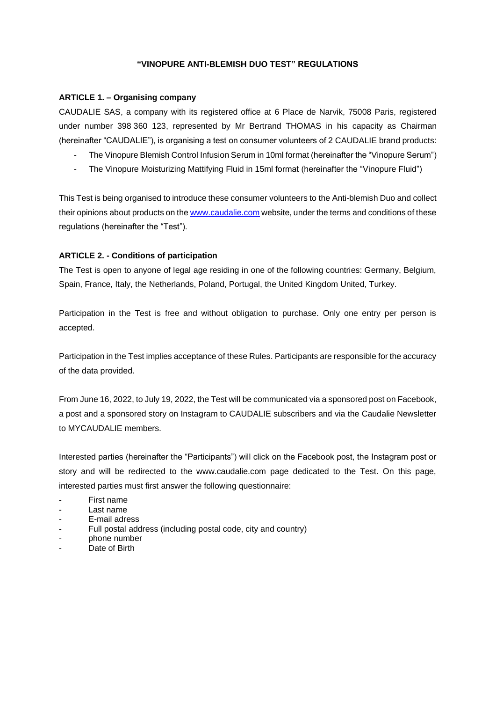### **"VINOPURE ANTI-BLEMISH DUO TEST" REGULATIONS**

## **ARTICLE 1. – Organising company**

CAUDALIE SAS, a company with its registered office at 6 Place de Narvik, 75008 Paris, registered under number 398 360 123, represented by Mr Bertrand THOMAS in his capacity as Chairman (hereinafter "CAUDALIE"), is organising a test on consumer volunteers of 2 CAUDALIE brand products:

- The Vinopure Blemish Control Infusion Serum in 10ml format (hereinafter the "Vinopure Serum")
- The Vinopure Moisturizing Mattifying Fluid in 15ml format (hereinafter the "Vinopure Fluid")

This Test is being organised to introduce these consumer volunteers to the Anti-blemish Duo and collect their opinions about products on th[e www.caudalie.com](http://www.caudalie.com/) website, under the terms and conditions of these regulations (hereinafter the "Test").

## **ARTICLE 2. - Conditions of participation**

The Test is open to anyone of legal age residing in one of the following countries: Germany, Belgium, Spain, France, Italy, the Netherlands, Poland, Portugal, the United Kingdom United, Turkey.

Participation in the Test is free and without obligation to purchase. Only one entry per person is accepted.

Participation in the Test implies acceptance of these Rules. Participants are responsible for the accuracy of the data provided.

From June 16, 2022, to July 19, 2022, the Test will be communicated via a sponsored post on Facebook, a post and a sponsored story on Instagram to CAUDALIE subscribers and via the Caudalie Newsletter to MYCAUDALIE members.

Interested parties (hereinafter the "Participants") will click on the Facebook post, the Instagram post or story and will be redirected to the www.caudalie.com page dedicated to the Test. On this page, interested parties must first answer the following questionnaire:

- First name
- Last name
- E-mail adress
- Full postal address (including postal code, city and country)
- phone number
- Date of Birth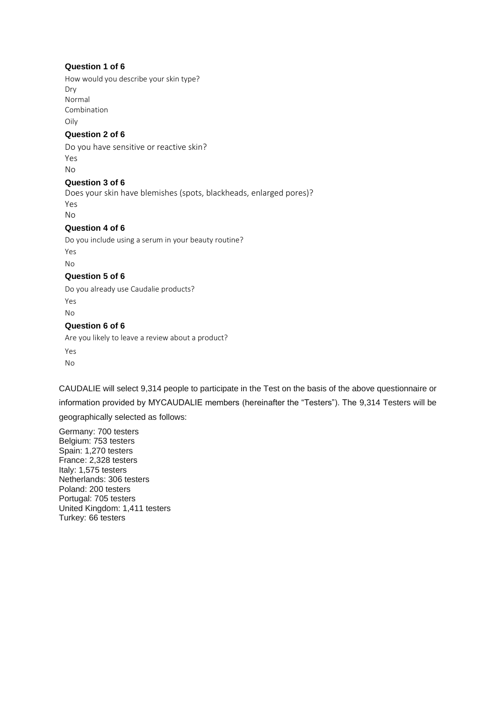## **Question 1 of 6**

How would you describe your skin type? Dry Normal Combination Oily

## **Question 2 of 6**

Do you have sensitive or reactive skin? Yes No

### **Question 3 of 6**

Does your skin have blemishes (spots, blackheads, enlarged pores)? Yes No

## **Question 4 of 6**

Do you include using a serum in your beauty routine? Yes

No

### **Question 5 of 6**

Do you already use Caudalie products? Yes No

### **Question 6 of 6**

Are you likely to leave a review about a product? Yes No

CAUDALIE will select 9,314 people to participate in the Test on the basis of the above questionnaire or information provided by MYCAUDALIE members (hereinafter the "Testers"). The 9,314 Testers will be geographically selected as follows:

Germany: 700 testers Belgium: 753 testers Spain: 1,270 testers France: 2,328 testers Italy: 1,575 testers Netherlands: 306 testers Poland: 200 testers Portugal: 705 testers United Kingdom: 1,411 testers Turkey: 66 testers